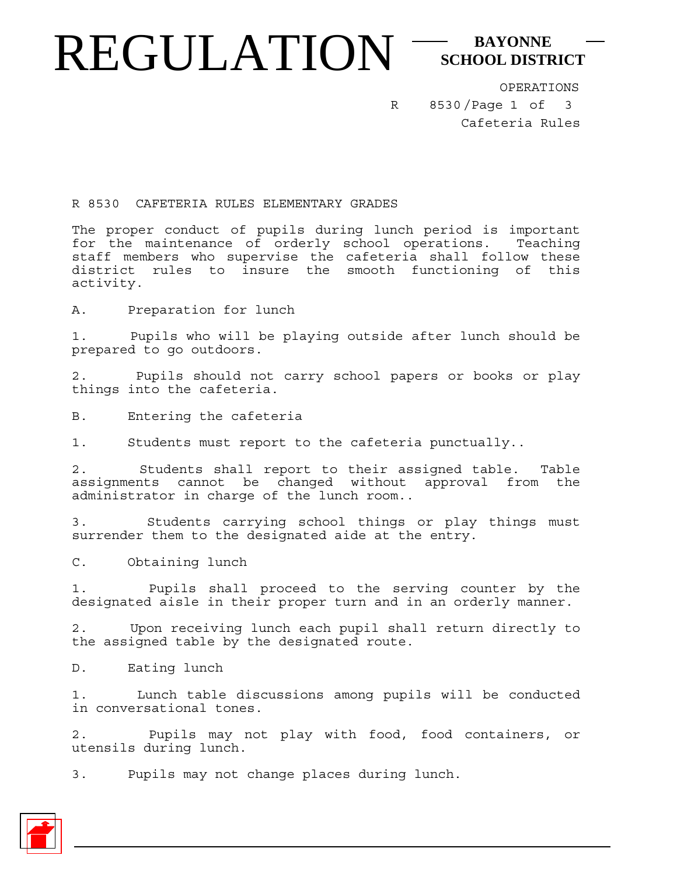## REGULATION<sup>-SCHOOL DISTI</sup> **SCHOOL DISTRICT**

R

8530/Page 1 of OPERATIONS Cafeteria Rules 3

R 8530 CAFETERIA RULES ELEMENTARY GRADES

The proper conduct of pupils during lunch period is important for the maintenance of orderly school operations. Teaching staff members who supervise the cafeteria shall follow these district rules to insure the smooth functioning of this activity.

A. Preparation for lunch

1. Pupils who will be playing outside after lunch should be prepared to go outdoors.

2. Pupils should not carry school papers or books or play things into the cafeteria.

B. Entering the cafeteria

1. Students must report to the cafeteria punctually..

2. Students shall report to their assigned table. Table assignments cannot be changed without approval from the administrator in charge of the lunch room..

3. Students carrying school things or play things must surrender them to the designated aide at the entry.

C. Obtaining lunch

1. Pupils shall proceed to the serving counter by the designated aisle in their proper turn and in an orderly manner.

2. Upon receiving lunch each pupil shall return directly to the assigned table by the designated route.

D. Eating lunch

1. Lunch table discussions among pupils will be conducted in conversational tones.

2. Pupils may not play with food, food containers, or utensils during lunch.

3. Pupils may not change places during lunch.

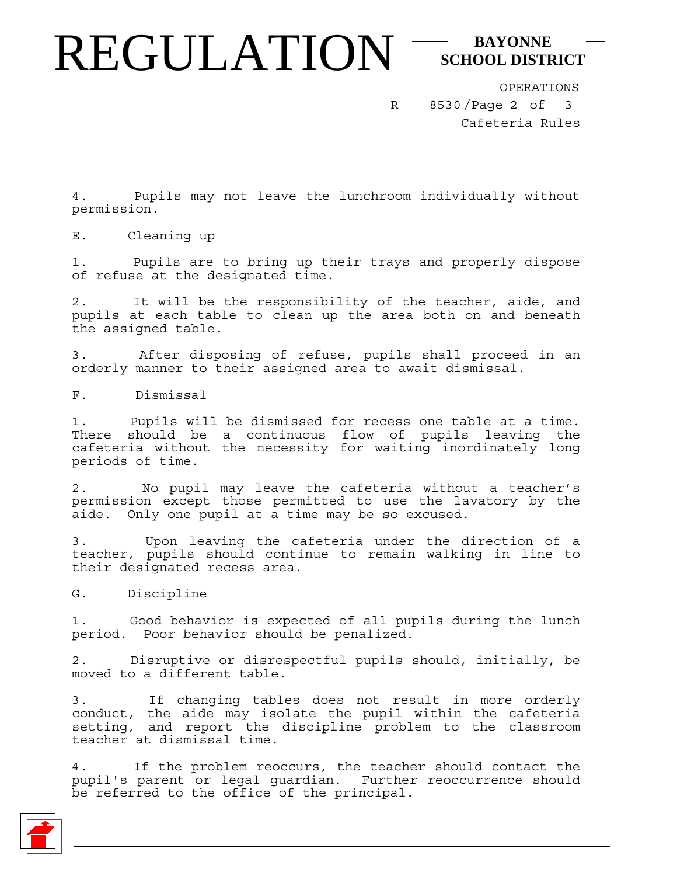## REGULATION<sup>-SCHOOL DISTI</sup> **SCHOOL DISTRICT**

R

8530/Page 2 of 3 OPERATIONS Cafeteria Rules

4. Pupils may not leave the lunchroom individually without permission.

E. Cleaning up

1. Pupils are to bring up their trays and properly dispose of refuse at the designated time.

2. It will be the responsibility of the teacher, aide, and pupils at each table to clean up the area both on and beneath the assigned table.

3. After disposing of refuse, pupils shall proceed in an orderly manner to their assigned area to await dismissal.

F. Dismissal

1. Pupils will be dismissed for recess one table at a time. There should be a continuous flow of pupils leaving the cafeteria without the necessity for waiting inordinately long periods of time.

No pupil may leave the cafeteria without a teacher's permission except those permitted to use the lavatory by the aide. Only one pupil at a time may be so excused.

3. Upon leaving the cafeteria under the direction of a teacher, pupils should continue to remain walking in line to their designated recess area.

G. Discipline

1. Good behavior is expected of all pupils during the lunch period. Poor behavior should be penalized.

2. Disruptive or disrespectful pupils should, initially, be moved to a different table.

3. If changing tables does not result in more orderly conduct, the aide may isolate the pupil within the cafeteria setting, and report the discipline problem to the classroom teacher at dismissal time.

4. If the problem reoccurs, the teacher should contact the pupil's parent or legal guardian. Further reoccurrence should be referred to the office of the principal.